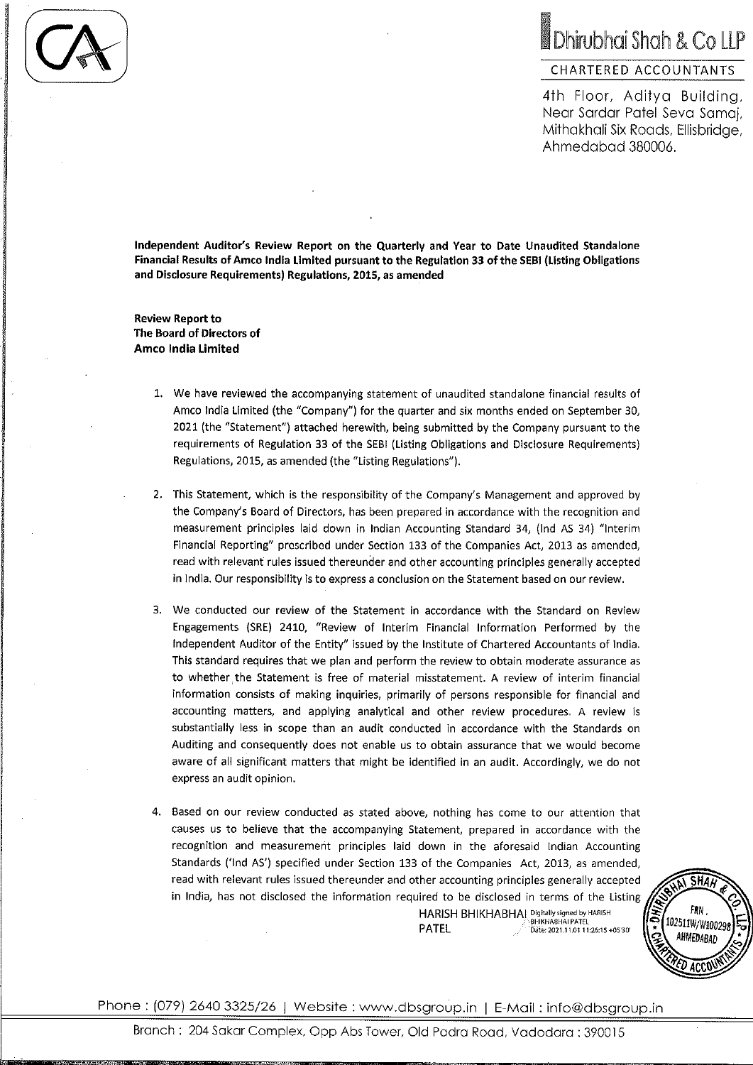# Dhirubhai Shah & Co LLP

## CHARTERED ACCOUNTANTS

4th Floor, Aditya Building, Near Sardar Patel Seva Samaj, Mithakhali Six Roads, Ellisbridge, Ahmedabad 380006.

Independent Auditor's Review Report on the Quarterly and Year to Date Unaudited Standalone Financial Results of Amco India Limited pursuant to the Regulation 33 of the SEBI (Listing Obligations and Disclosure Requirements) Regulations, 2015, as amended

**Review Report to** The Board of Directors of **Amco India Limited** 

- 1. We have reviewed the accompanying statement of unaudited standalone financial results of Amco India Limited (the "Company") for the quarter and six months ended on September 30, 2021 (the "Statement") attached herewith, being submitted by the Company pursuant to the requirements of Regulation 33 of the SEBI (Listing Obligations and Disclosure Requirements) Regulations, 2015, as amended (the "Listing Regulations").
- 2. This Statement, which is the responsibility of the Company's Management and approved by the Company's Board of Directors, has been prepared in accordance with the recognition and measurement principles laid down in Indian Accounting Standard 34, (Ind AS 34) "Interim Financial Reporting" prescribed under Section 133 of the Companies Act, 2013 as amended, read with relevant rules issued thereunder and other accounting principles generally accepted in India. Our responsibility is to express a conclusion on the Statement based on our review.
- 3. We conducted our review of the Statement in accordance with the Standard on Review Engagements (SRE) 2410, "Review of Interim Financial Information Performed by the Independent Auditor of the Entity" issued by the Institute of Chartered Accountants of India. This standard requires that we plan and perform the review to obtain moderate assurance as to whether the Statement is free of material misstatement. A review of interim financial information consists of making inquiries, primarily of persons responsible for financial and accounting matters, and applying analytical and other review procedures. A review is substantially less in scope than an audit conducted in accordance with the Standards on Auditing and consequently does not enable us to obtain assurance that we would become aware of all significant matters that might be identified in an audit. Accordingly, we do not express an audit opinion.
- 4. Based on our review conducted as stated above, nothing has come to our attention that causes us to believe that the accompanying Statement, prepared in accordance with the recognition and measurement principles laid down in the aforesaid Indian Accounting Standards ('Ind AS') specified under Section 133 of the Companies Act, 2013, as amended, read with relevant rules issued thereunder and other accounting principles generally accepted in India, has not disclosed the information required to be disclosed in terms of the Listing HARISH BHIKHABHAI Digitally signed by HARISH

**PATEL** Date: 2021.11.01 11:26:15 +05'30'



Phone: (079) 2640 3325/26 | Website: www.dbsgroup.in | E-Mail: info@dbsgroup.in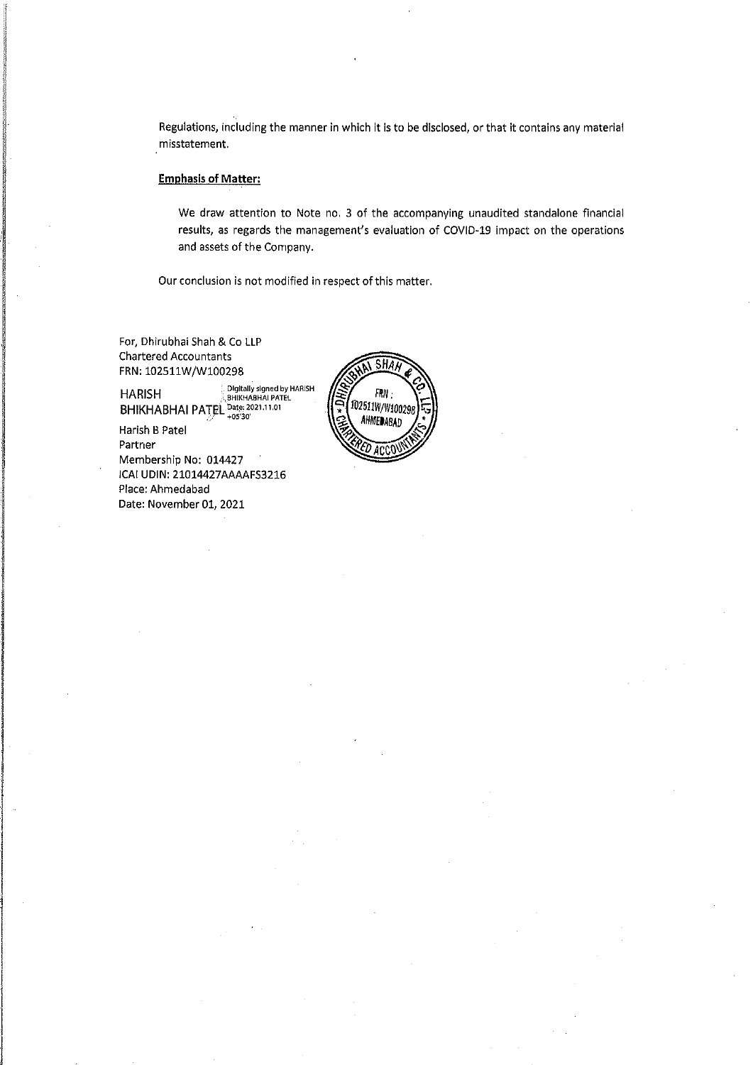Regulations, including the manner in which it is to be disclosed, or that it contains any material misstatement.

## **Emphasis of Matter:**

We draw attention to Note no. 3 of the accompanying unaudited standalone financial results, as regards the management's evaluation of COVID-19 impact on the operations and assets of the Company.

Our conclusion is not modified in respect of this matter.

For, Dhirubhai Shah & Co LLP **Chartered Accountants** FRN: 102511W/W100298

Harish B Patel Partner Membership No: 014427 ICAI UDIN: 21014427AAAAFS3216 Place: Ahmedabad Date: November 01, 2021

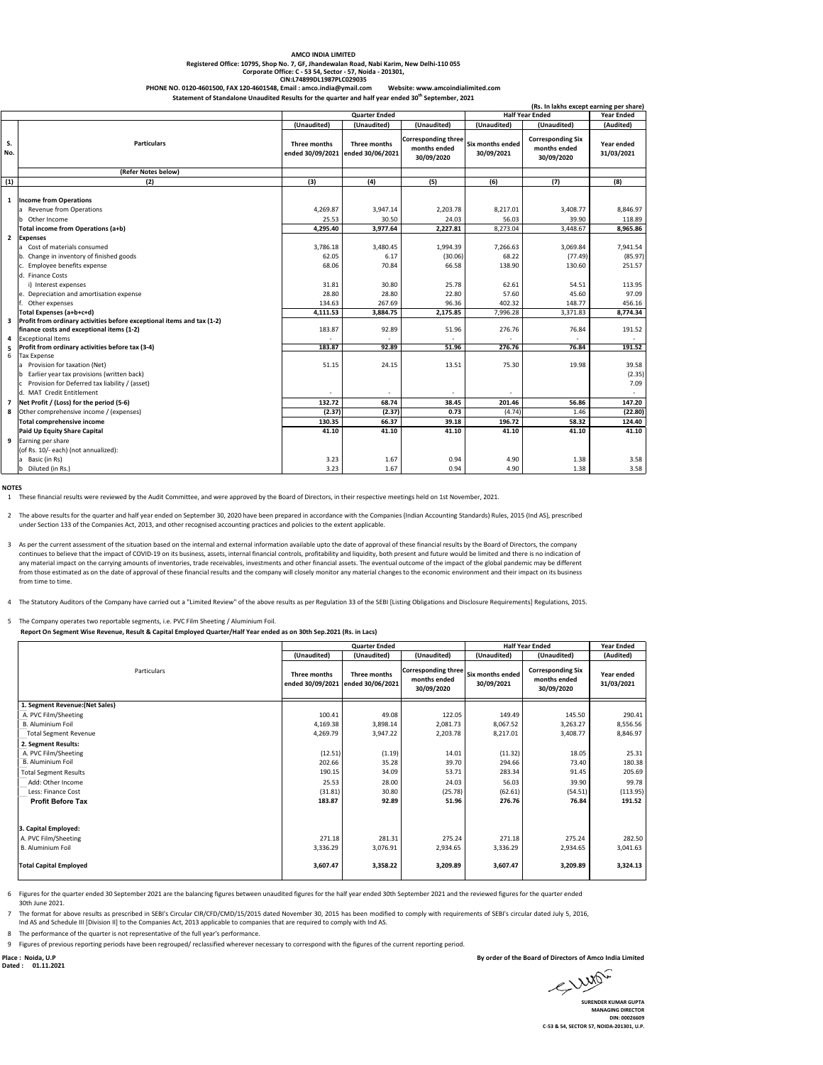## **AMCO INDIA LIMITED**

**Registered Office: 10795, Shop No. 7, GF, Jhandewalan Road, Nabi Karim, New Delhi-110 055 Corporate Office: C - 53 54, Sector - 57, Noida - 201301, CIN:L74899DL1987PLC029035**

PHONE NO. 0120-4601500, FAX 120-4601548, Email : amco.india@ymail.com Website: www.amcoindialimited.com<br>Statement of Standalone Unaudited Results for the quarter and half year ended 30<sup>th</sup> September, 2021

|                | bearderone ondertrea nesures for the quarter and han year ended 50 - September, 2021                                                                          |                                  |                                  |                                                          |                                | (Rs. In lakhs except earning per share)                |                          |
|----------------|---------------------------------------------------------------------------------------------------------------------------------------------------------------|----------------------------------|----------------------------------|----------------------------------------------------------|--------------------------------|--------------------------------------------------------|--------------------------|
|                |                                                                                                                                                               | <b>Quarter Ended</b>             |                                  | <b>Half Year Ended</b>                                   |                                | <b>Year Ended</b>                                      |                          |
|                |                                                                                                                                                               | (Unaudited)                      | (Unaudited)                      | (Unaudited)                                              | (Unaudited)                    | (Unaudited)                                            | (Audited)                |
| S.<br>No.      | <b>Particulars</b>                                                                                                                                            | Three months<br>ended 30/09/2021 | Three months<br>ended 30/06/2021 | <b>Corresponding three</b><br>months ended<br>30/09/2020 | Six months ended<br>30/09/2021 | <b>Corresponding Six</b><br>months ended<br>30/09/2020 | Year ended<br>31/03/2021 |
|                | (Refer Notes below)                                                                                                                                           |                                  |                                  |                                                          |                                |                                                        |                          |
| (1)            | (2)                                                                                                                                                           | (3)                              | (4)                              | (5)                                                      | (6)                            | (7)                                                    | (8)                      |
| 1              | <b>Income from Operations</b><br>a Revenue from Operations<br>b Other Income                                                                                  | 4.269.87<br>25.53                | 3.947.14<br>30.50                | 2,203.78<br>24.03                                        | 8,217.01<br>56.03              | 3.408.77<br>39.90                                      | 8,846.97<br>118.89       |
|                | Total income from Operations (a+b)                                                                                                                            | 4,295.40                         | 3,977.64                         | 2,227.81                                                 | 8,273.04                       | 3,448.67                                               | 8,965.86                 |
|                | 2 Expenses<br>a Cost of materials consumed<br>b. Change in inventory of finished goods                                                                        | 3,786.18<br>62.05                | 3,480.45<br>6.17                 | 1,994.39<br>(30.06)                                      | 7,266.63<br>68.22              | 3,069.84<br>(77.49)                                    | 7,941.54<br>(85.97)      |
|                | c. Employee benefits expense<br>d. Finance Costs<br>i) Interest expenses                                                                                      | 68.06<br>31.81                   | 70.84<br>30.80                   | 66.58<br>25.78                                           | 138.90<br>62.61                | 130.60<br>54.51                                        | 251.57<br>113.95         |
|                | e. Depreciation and amortisation expense                                                                                                                      | 28.80                            | 28.80                            | 22.80                                                    | 57.60                          | 45.60                                                  | 97.09                    |
|                | Other expenses                                                                                                                                                | 134.63                           | 267.69                           | 96.36                                                    | 402.32                         | 148.77                                                 | 456.16                   |
|                | Total Expenses (a+b+c+d)                                                                                                                                      | 4,111.53                         | 3,884.75                         | 2,175.85                                                 | 7,996.28                       | 3,371.83                                               | 8,774.34                 |
| 3              | Profit from ordinary activities before exceptional items and tax (1-2)<br>finance costs and exceptional items (1-2)                                           | 183.87                           | 92.89                            | 51.96                                                    | 276.76                         | 76.84                                                  | 191.52                   |
| 4              | <b>Exceptional Items</b>                                                                                                                                      |                                  |                                  |                                                          |                                |                                                        |                          |
| 5<br>6         | Profit from ordinary activities before tax (3-4)<br><b>Tax Expense</b>                                                                                        | 183.87                           | 92.89                            | 51.96                                                    | 276.76                         | 76.84                                                  | 191.52<br>39.58          |
|                | a Provision for taxation (Net)<br>b Earlier year tax provisions (written back)<br>Provision for Deferred tax liability / (asset)<br>d. MAT Credit Entitlement | 51.15                            | 24.15                            | 13.51                                                    | 75.30                          | 19.98                                                  | (2.35)<br>7.09           |
| $\overline{7}$ | Net Profit / (Loss) for the period (5-6)                                                                                                                      | 132.72                           | 68.74                            | 38.45                                                    | 201.46                         | 56.86                                                  | 147.20                   |
| 8              | Other comprehensive income / (expenses)                                                                                                                       | (2.37)                           | (2.37)                           | 0.73                                                     | (4.74)                         | 1.46                                                   | (22.80)                  |
|                | Total comprehensive income                                                                                                                                    | 130.35                           | 66.37                            | 39.18                                                    | 196.72                         | 58.32                                                  | 124.40                   |
|                | Paid Up Equity Share Capital                                                                                                                                  | 41.10                            | 41.10                            | 41.10                                                    | 41.10                          | 41.10                                                  | 41.10                    |
|                | 9 Earning per share<br>(of Rs. 10/- each) (not annualized):                                                                                                   |                                  |                                  |                                                          |                                |                                                        |                          |
|                | Basic (in Rs)                                                                                                                                                 | 3.23                             | 1.67                             | 0.94                                                     | 4.90                           | 1.38                                                   | 3.58                     |
|                | b Diluted (in Rs.)                                                                                                                                            | 3.23                             | 1.67                             | 0.94                                                     | 4.90                           | 1.38                                                   | 3.58                     |

**NOTES**

1 These financial results were reviewed by the Audit Committee, and were approved by the Board of Directors, in their respective meetings held on 1st November, 2021.

2 The above results for the quarter and half year ended on September 30, 2020 have been prepared in accordance with the Companies (Indian Accounting Standards) Rules, 2015 (Ind AS), prescribed under Section 133 of the Companies Act, 2013, and other recognised accounting practices and policies to the extent applicable.

3 As per the current assessment of the situation based on the internal and external information available upto the date of approval of these financial results by the Board of Directors, the company continues to believe that the impact of COVID-19 on its business, assets, internal financial controls, profitability and liquidity, both present and future would be limited and there is no indication of any material impact on the carrying amounts of inventories, trade receivables, investments and other financial assets. The eventual outcome of the impact of the global pandemic may be different<br>from those estimated as on t from time to time.

4 The Statutory Auditors of the Company have carried out a "Limited Review" of the above results as per Regulation 33 of the SEBI [Listing Obligations and Disclosure Requirements] Regulations, 2015.

5 The Company operates two reportable segments, i.e. PVC Film Sheeting / Aluminium Foil.

 **Report On Segment Wise Revenue, Result & Capital Employed Quarter/Half Year ended as on 30th Sep.2021 (Rs. in Lacs)**

|                                 | <b>Quarter Ended</b> |                                                   | <b>Half Year Ended</b>                                   |                                | <b>Year Ended</b>                                      |                          |
|---------------------------------|----------------------|---------------------------------------------------|----------------------------------------------------------|--------------------------------|--------------------------------------------------------|--------------------------|
|                                 | (Unaudited)          | (Unaudited)                                       | (Unaudited)                                              | (Unaudited)                    | (Unaudited)                                            | (Audited)                |
| Particulars                     | Three months         | Three months<br>ended 30/09/2021 ended 30/06/2021 | <b>Corresponding three</b><br>months ended<br>30/09/2020 | Six months ended<br>30/09/2021 | <b>Corresponding Six</b><br>months ended<br>30/09/2020 | Year ended<br>31/03/2021 |
| 1. Segment Revenue: (Net Sales) |                      |                                                   |                                                          |                                |                                                        |                          |
| A. PVC Film/Sheeting            | 100.41               | 49.08                                             | 122.05                                                   | 149.49                         | 145.50                                                 | 290.41                   |
| <b>B.</b> Aluminium Foil        | 4,169.38             | 3,898.14                                          | 2,081.73                                                 | 8,067.52                       | 3,263.27                                               | 8,556.56                 |
| <b>Total Segment Revenue</b>    | 4,269.79             | 3,947.22                                          | 2,203.78                                                 | 8,217.01                       | 3,408.77                                               | 8,846.97                 |
| 2. Segment Results:             |                      |                                                   |                                                          |                                |                                                        |                          |
| A. PVC Film/Sheeting            | (12.51)              | (1.19)                                            | 14.01                                                    | (11.32)                        | 18.05                                                  | 25.31                    |
| <b>B.</b> Aluminium Foil        | 202.66               | 35.28                                             | 39.70                                                    | 294.66                         | 73.40                                                  | 180.38                   |
| <b>Total Segment Results</b>    | 190.15               | 34.09                                             | 53.71                                                    | 283.34                         | 91.45                                                  | 205.69                   |
| Add: Other Income               | 25.53                | 28.00                                             | 24.03                                                    | 56.03                          | 39.90                                                  | 99.78                    |
| Less: Finance Cost              | (31.81)              | 30.80                                             | (25.78)                                                  | (62.61)                        | (54.51)                                                | (113.95)                 |
| <b>Profit Before Tax</b>        | 183.87               | 92.89                                             | 51.96                                                    | 276.76                         | 76.84                                                  | 191.52                   |
|                                 |                      |                                                   |                                                          |                                |                                                        |                          |
| 3. Capital Employed:            |                      |                                                   |                                                          |                                |                                                        |                          |
| A. PVC Film/Sheeting            | 271.18               | 281.31                                            | 275.24                                                   | 271.18                         | 275.24                                                 | 282.50                   |
| B. Aluminium Foil               | 3,336.29             | 3,076.91                                          | 2,934.65                                                 | 3,336.29                       | 2,934.65                                               | 3,041.63                 |
| <b>Total Capital Employed</b>   | 3,607.47             | 3,358.22                                          | 3,209.89                                                 | 3,607.47                       | 3,209.89                                               | 3,324.13                 |

6 Figures for the quarter ended 30 September 2021 are the balancing figures between unaudited figures for the half year ended 30th September 2021 and the reviewed figures for the quarter ended 30th June 2021.

7 The format for above results as prescribed in SEBI's Circular CIR/CFD/CMD/15/2015 dated November 30, 2015 has been modified to comply with requirements of SEBI's circular dated July 5, 2016,

Ind AS and Schedule III [Division II] to the Companies Act, 2013 applicable to companies that are required to comply with Ind AS.

8 The performance of the quarter is not representative of the full year's performance.

9 Figures of previous reporting periods have been regrouped/ reclassified wherever necessary to correspond with the figures of the current reporting period.

**Dated : 01.11.2021**

**Place : Noida, U.P By order of the Board of Directors of Amco India Limited**

SURENDER KUMAR GUPTA

**MANAGING DIRECTOR DIN: 00026609 C-53 & 54, SECTOR 57, NOIDA-201301, U.P.**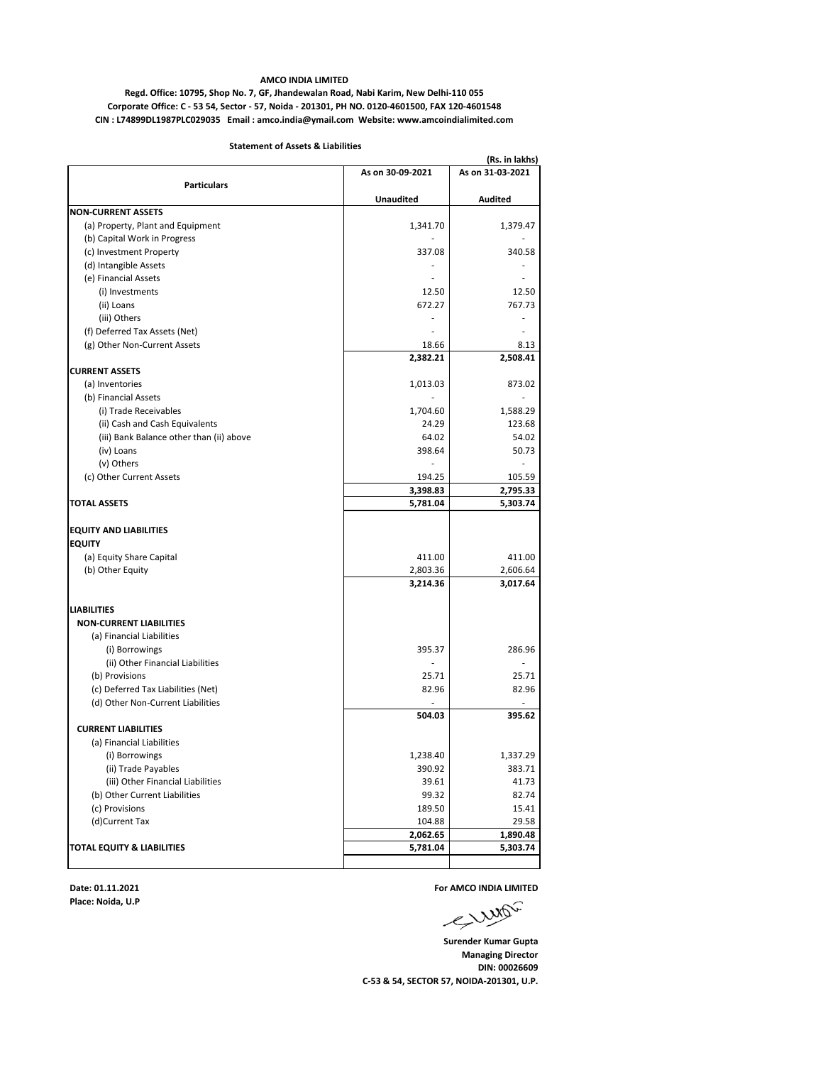#### **AMCO INDIA LIMITED**

**Corporate Office: C - 53 54, Sector - 57, Noida - 201301, PH NO. 0120-4601500, FAX 120-4601548 CIN : L74899DL1987PLC029035 Email : amco.india@ymail.com Website: www.amcoindialimited.com Regd. Office: 10795, Shop No. 7, GF, Jhandewalan Road, Nabi Karim, New Delhi-110 055**

#### **Statement of Assets & Liabilities**

|                                                          |                  | (Rs. in lakhs)     |  |  |
|----------------------------------------------------------|------------------|--------------------|--|--|
|                                                          | As on 30-09-2021 | As on 31-03-2021   |  |  |
| <b>Particulars</b>                                       |                  |                    |  |  |
|                                                          | <b>Unaudited</b> | Audited            |  |  |
| <b>NON-CURRENT ASSETS</b>                                |                  |                    |  |  |
| (a) Property, Plant and Equipment                        | 1,341.70         | 1,379.47           |  |  |
| (b) Capital Work in Progress                             |                  |                    |  |  |
| (c) Investment Property                                  | 337.08           | 340.58             |  |  |
| (d) Intangible Assets                                    |                  |                    |  |  |
| (e) Financial Assets                                     |                  |                    |  |  |
| (i) Investments                                          | 12.50            | 12.50              |  |  |
| (ii) Loans                                               | 672.27           | 767.73             |  |  |
| (iii) Others                                             |                  |                    |  |  |
| (f) Deferred Tax Assets (Net)                            |                  |                    |  |  |
| (g) Other Non-Current Assets                             | 18.66            | 8.13               |  |  |
|                                                          | 2,382.21         | 2,508.41           |  |  |
| <b>CURRENT ASSETS</b>                                    |                  |                    |  |  |
| (a) Inventories                                          | 1,013.03         | 873.02             |  |  |
| (b) Financial Assets                                     |                  |                    |  |  |
| (i) Trade Receivables                                    | 1,704.60         | 1,588.29           |  |  |
| (ii) Cash and Cash Equivalents                           | 24.29            | 123.68             |  |  |
| (iii) Bank Balance other than (ii) above                 | 64.02            | 54.02              |  |  |
| (iv) Loans                                               | 398.64           | 50.73              |  |  |
| (v) Others                                               |                  |                    |  |  |
| (c) Other Current Assets                                 | 194.25           | 105.59             |  |  |
|                                                          | 3,398.83         | 2,795.33           |  |  |
| <b>TOTAL ASSETS</b>                                      | 5,781.04         | 5,303.74           |  |  |
|                                                          |                  |                    |  |  |
| <b>EQUITY AND LIABILITIES</b>                            |                  |                    |  |  |
| <b>EQUITY</b>                                            |                  |                    |  |  |
| (a) Equity Share Capital                                 | 411.00           | 411.00             |  |  |
| (b) Other Equity                                         | 2,803.36         | 2,606.64           |  |  |
|                                                          | 3,214.36         | 3,017.64           |  |  |
| <b>LIABILITIES</b>                                       |                  |                    |  |  |
| <b>NON-CURRENT LIABILITIES</b>                           |                  |                    |  |  |
| (a) Financial Liabilities                                |                  |                    |  |  |
| (i) Borrowings                                           | 395.37           | 286.96             |  |  |
| (ii) Other Financial Liabilities                         |                  |                    |  |  |
| (b) Provisions                                           | 25.71            | 25.71              |  |  |
|                                                          | 82.96            | 82.96              |  |  |
| (c) Deferred Tax Liabilities (Net)                       |                  |                    |  |  |
| (d) Other Non-Current Liabilities                        | 504.03           | 395.62             |  |  |
| <b>CURRENT LIABILITIES</b>                               |                  |                    |  |  |
| (a) Financial Liabilities                                |                  |                    |  |  |
|                                                          |                  |                    |  |  |
| (i) Borrowings                                           | 1,238.40         | 1,337.29<br>383.71 |  |  |
| (ii) Trade Payables<br>(iii) Other Financial Liabilities | 390.92<br>39.61  | 41.73              |  |  |
|                                                          |                  |                    |  |  |
| (b) Other Current Liabilities                            | 99.32            | 82.74              |  |  |
| (c) Provisions                                           | 189.50           | 15.41              |  |  |
| (d)Current Tax                                           | 104.88           | 29.58              |  |  |
|                                                          | 2,062.65         | 1,890.48           |  |  |
| TOTAL EQUITY & LIABILITIES                               | 5,781.04         | 5,303.74           |  |  |
|                                                          |                  |                    |  |  |

**Place: Noida, U.P**

**Date: 01.11.2021 For AMCO INDIA LIMITED**<br>Place: Noida, U.P<br>  $\sqrt{2\pi}$ 

**Surender Kumar Gupta Managing Director DIN: 00026609 C-53 & 54, SECTOR 57, NOIDA-201301, U.P.**